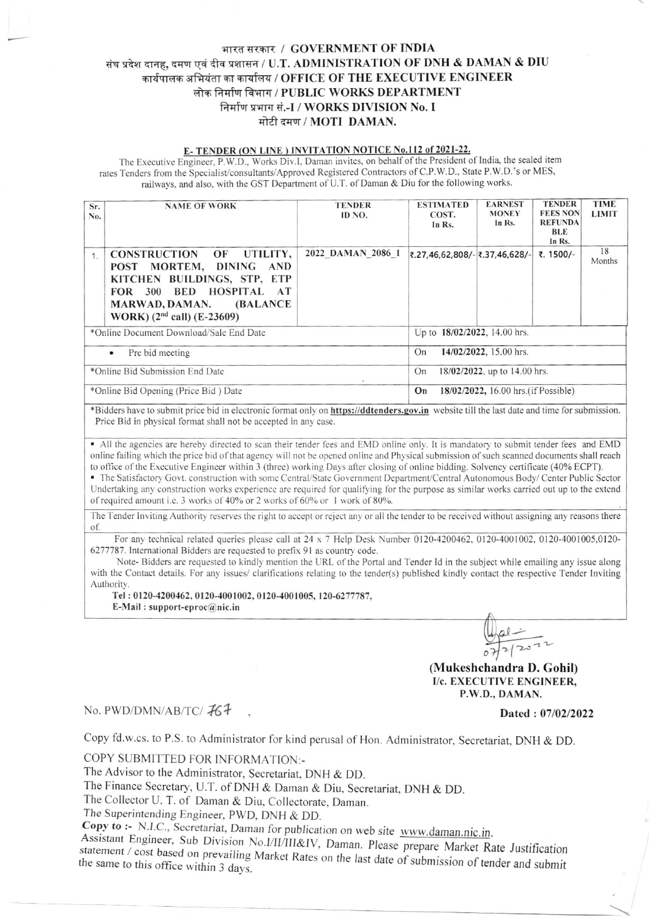## भारत सरकार / GOVERNMENT OF INDIA संघ प्रदेश दानह, दमण एवं दीव प्रशासन / U.T. ADMINISTRATION OF DNH & DAMAN & DIU कार्यपालक अभियंता का कार्यालय / OFFICE OF THE EXECUTIVE ENGINEER लोक निर्माण विभाग / PUBLIC WORKS DEPARTMENT निर्माण प्रभाग सं.-I / WORKS DIVISION No. I मोटी दमण / MOTI DAMAN.

#### E-TENDER (ON LINE) INVITATION NOTICE No.112 of 2021-22.

The Executive Engineer, P.W.D., Works Div.I, Daman invites, on behalf of the President of India, the sealed item rates Tenders from the Specialist/consultants/Approved Registered Contractors of C.P.W.D., State P.W.D.'s or MES, railways, and also, with the GST Department of U.T. of Daman & Diu for the following works.

| Sr.<br>No.                           | <b>NAME OF WORK</b>                                                                                                                                                                            | <b>TENDER</b><br>ID NO.      | <b>ESTIMATED</b><br>COST.<br>In Rs.        | <b>EARNEST</b><br><b>MONEY</b><br>In Rs. | <b>TENDER</b><br><b>FEES NON</b><br><b>REFUNDA</b><br><b>BLE</b><br>In Rs. | <b>TIME</b><br><b>LIMIT</b> |  |
|--------------------------------------|------------------------------------------------------------------------------------------------------------------------------------------------------------------------------------------------|------------------------------|--------------------------------------------|------------------------------------------|----------------------------------------------------------------------------|-----------------------------|--|
| 1.                                   | CONSTRUCTION OF UTILITY,<br>POST MORTEM, DINING<br>AND<br>KITCHEN BUILDINGS, STP, ETP<br>BED HOSPITAL AT<br>300<br>FOR<br>MARWAD, DAMAN.<br><b>(BALANCE)</b><br>WORK) $(2nd$ call) $(E-23609)$ | 2022 DAMAN 2086 1            | ₹.27,46,62,808/- ₹.37,46,628/-             |                                          | ₹. 1500/-                                                                  | 18<br>Months                |  |
|                                      | *Online Document Download/Sale End Date                                                                                                                                                        | Up to 18/02/2022, 14.00 hrs. |                                            |                                          |                                                                            |                             |  |
| Pre bid meeting<br>$\bullet$         |                                                                                                                                                                                                |                              | 14/02/2022, 15.00 hrs.<br>On               |                                          |                                                                            |                             |  |
| *Online Bid Submission End Date      |                                                                                                                                                                                                |                              | 18/02/2022, up to 14.00 hrs.<br>On         |                                          |                                                                            |                             |  |
| *Online Bid Opening (Price Bid) Date |                                                                                                                                                                                                |                              | 18/02/2022, 16.00 hrs. (if Possible)<br>On |                                          |                                                                            |                             |  |

\*Bidders have to submit price bid in electronic format only on https://ddtenders.gov.in website till the last date and time for submission. Price Bid in physical format shall not be accepted in any case.

• All the agencies are hereby directed to scan their tender fees and EMD online only. It is mandatory to submit tender fees and EMD online failing which the price bid of that agency will not be opened online and Physical submission of such scanned documents shall reach to office of the Executive Engineer within 3 (three) working Days after closing of online bidding. Solvency certificate (40% ECPT).

The Satisfactory Govt. construction with some Central/State Government Department/Central Autonomous Body/Center Public Sector Undertaking any construction works experience are required for qualifying for the purpose as similar works carried out up to the extend of required amount i.e. 3 works of 40% or 2 works of 60% or 1 work of 80%.

The Tender Inviting Authority reserves the right to accept or reject any or all the tender to be received without assigning any reasons there of

For any technical related queries please call at  $24 \times 7$  Help Desk Number 0120-4200462, 0120-4001002, 0120-4001005,0120-6277787. International Bidders are requested to prefix 91 as country code.

Note-Bidders are requested to kindly mention the URL of the Portal and Tender Id in the subject while emailing any issue along with the Contact details. For any issues/ clarifications relating to the tender(s) published kindly contact the respective Tender Inviting Authority.

Tel: 0120-4200462, 0120-4001002, 0120-4001005, 120-6277787, E-Mail: support-eproc $@$ nic.in

> $\frac{1}{2|20}$ (Mukeshchandra D. Gohil) I/c. EXECUTIVE ENGINEER.

### P.W.D., DAMAN.

## No. PWD/DMN/AB/TC/767

Dated: 07/02/2022

Copy fd.w.cs. to P.S. to Administrator for kind perusal of Hon. Administrator, Secretariat, DNH & DD.

COPY SUBMITTED FOR INFORMATION:-

The Advisor to the Administrator, Secretariat, DNH & DD.

The Finance Secretary, U.T. of DNH & Daman & Diu, Secretariat, DNH & DD.

The Collector U. T. of Daman & Diu, Collectorate, Daman.

The Superintending Engineer, PWD, DNH & DD.

Copy to :- N.I.C., Secretariat, Daman for publication on web site www.daman.nic.in.

Assistant Engineer, Sub Division No.I/II/III&IV, Daman. Please prepare Market Rate Justification statement / cost based on prevailing Market Rates on the last date of submission of tender and submit the same to this office within 3 days.